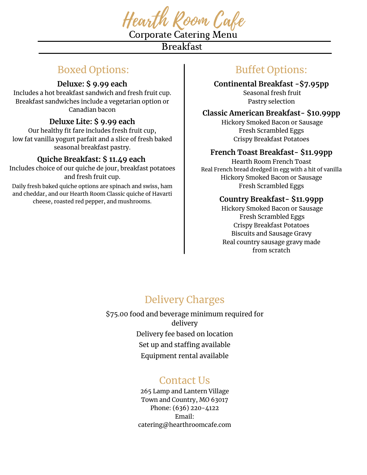

Corporate Catering Menu **Breakfast** 

## Boxed Options:

### **Deluxe: \$ 9.99 each**

Includes a hot breakfast sandwich and fresh fruit cup. Breakfast sandwiches include a vegetarian option or Canadian bacon

## **Deluxe Lite: \$ 9.99 each**

Our healthy fit fare includes fresh fruit cup, low fat vanilla yogurt parfait and a slice of fresh baked seasonal breakfast pastry.

## **Quiche Breakfast: \$ 11.49 each**

Includes choice of our quiche de jour, breakfast potatoes and fresh fruit cup.

Daily fresh baked quiche options are spinach and swiss, ham and cheddar, and our Hearth Room Classic quiche of Havarti cheese, roasted red pepper, and mushrooms.

# Buffet Options:

### **Continental Breakfast -\$7.95pp**

Seasonal fresh fruit Pastry selection

## **Classic American Breakfast- \$10.99pp**

Hickory Smoked Bacon or Sausage Fresh Scrambled Eggs Crispy Breakfast Potatoes

## **French Toast Breakfast- \$11.99pp**

Hearth Room French Toast Real French bread dredged in egg with a hit of vanilla Hickory Smoked Bacon or Sausage Fresh Scrambled Eggs

### **Country Breakfast- \$11.99pp**

Hickory Smoked Bacon or Sausage Fresh Scrambled Eggs Crispy Breakfast Potatoes Biscuits and Sausage Gravy Real country sausage gravy made from scratch

# Delivery Charges

\$75.00 food and beverage minimum required for delivery Delivery fee based on location Set up and staffing available Equipment rental available

## Contact Us

265 Lamp and Lantern Village Town and Country, MO 63017 Phone: (636) 220-4122 Email: catering@hearthroomcafe.com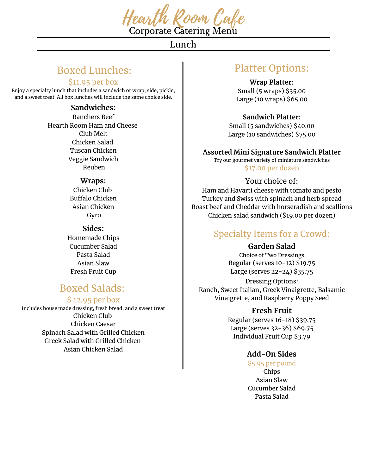

Corporate Catering Menu

Lunch

## Boxed Lunches:

### \$11.95 per box

Enjoy a specialty lunch that includes a sandwich or wrap, side, pickle, and a sweet treat. All box lunches will include the same choice side.

#### **Sandwiches:**

Ranchers Beef Hearth Room Ham and Cheese Club Melt Chicken Salad Tuscan Chicken Veggie Sandwich Reuben

#### **Wraps:**

Chicken Club Buffalo Chicken Asian Chicken Gyro

**Sides:** Homemade Chips Cucumber Salad Pasta Salad Asian Slaw Fresh Fruit Cup

# Boxed Salads:

### \$ 12.95 per box

Includes house made dressing, fresh bread, and a sweet treat Chicken Club Chicken Caesar Spinach Salad with Grilled Chicken Greek Salad with Grilled Chicken Asian Chicken Salad

## Platter Options:

**Wrap Platter:**

Small (5 wraps) \$35.00 Large (10 wraps) \$65.00

**Sandwich Platter:**

Small (5 sandwiches) \$40.00 Large (10 sandwiches) \$75.00

#### **Assorted Mini Signature Sandwich Platter**

Try our gourmet variety of miniature sandwiches \$17.00 per dozen

### Your choice of:

Ham and Havarti cheese with tomato and pesto Turkey and Swiss with spinach and herb spread Roast beef and Cheddar with horseradish and scallions Chicken salad sandwich (\$19.00 per dozen)

## Specialty Items for a Crowd:

### **Garden Salad**

Choice of Two Dressings Regular (serves 10-12) \$19.75 Large (serves 22-24) \$35.75

Dressing Options: Ranch, Sweet Italian, Greek Vinaigrette, Balsamic Vinaigrette, and Raspberry Poppy Seed

### **Fresh Fruit**

Regular (serves 16-18) \$39.75 Large (serves 32-36) \$69.75 Individual Fruit Cup \$3.79

## **Add-On Sides**

\$5.95 per pound Chips Asian Slaw Cucumber Salad Pasta Salad